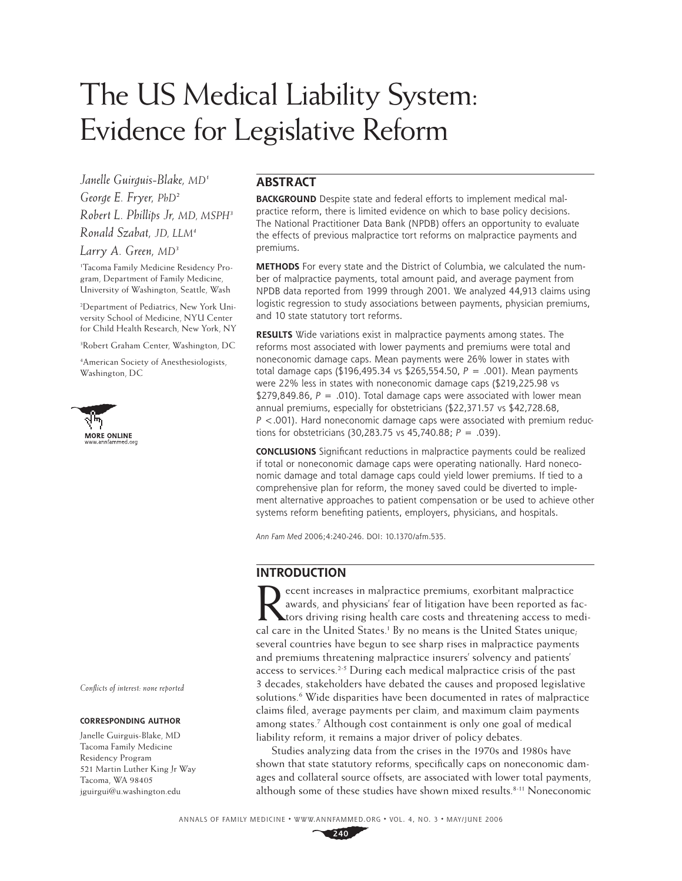# The US Medical Liability System: Evidence for Legislative Reform

*Janelle Guirguis-Blake, MD1 George E. Fryer, PhD2 Robert L. Phillips Jr, MD, MSPH3 Ronald Szabat, JD, LLM4*

## *Larry A. Green, MD3*

1 Tacoma Family Medicine Residency Program, Department of Family Medicine, University of Washington, Seattle, Wash

2 Department of Pediatrics, New York University School of Medicine, NYU Center for Child Health Research, New York, NY

3 Robert Graham Center, Washington, DC

4 American Society of Anesthesiologists, Washington, DC



*Confl icts of interest: none reported*

#### **CORRESPONDING AUTHOR**

Janelle Guirguis-Blake, MD Tacoma Family Medicine Residency Program 521 Martin Luther King Jr Way Tacoma, WA 98405 jguirgui@u.washington.edu

## **ABSTRACT**

**BACKGROUND** Despite state and federal efforts to implement medical malpractice reform, there is limited evidence on which to base policy decisions. The National Practitioner Data Bank (NPDB) offers an opportunity to evaluate the effects of previous malpractice tort reforms on malpractice payments and premiums.

**METHODS** For every state and the District of Columbia, we calculated the number of malpractice payments, total amount paid, and average payment from NPDB data reported from 1999 through 2001. We analyzed 44,913 claims using logistic regression to study associations between payments, physician premiums, and 10 state statutory tort reforms.

**RESULTS** Wide variations exist in malpractice payments among states. The reforms most associated with lower payments and premiums were total and noneconomic damage caps. Mean payments were 26% lower in states with total damage caps (\$196,495.34 vs \$265,554.50, *P* = .001). Mean payments were 22% less in states with noneconomic damage caps (\$219,225.98 vs \$279,849.86,  $P = .010$ ). Total damage caps were associated with lower mean annual premiums, especially for obstetricians (\$22,371.57 vs \$42,728.68, *P* <.001). Hard noneconomic damage caps were associated with premium reductions for obstetricians (30,283.75 vs 45,740.88; *P* = .039).

**CONCLUSIONS** Significant reductions in malpractice payments could be realized if total or noneconomic damage caps were operating nationally. Hard noneconomic damage and total damage caps could yield lower premiums. If tied to a comprehensive plan for reform, the money saved could be diverted to implement alternative approaches to patient compensation or be used to achieve other systems reform benefiting patients, employers, physicians, and hospitals.

*Ann Fam Med* 2006;4:240-246. DOI: 10.1370/afm.535.

## **INTRODUCTION**

Recent increases in malpractice premiums, exorbitant malpractice<br>awards, and physicians' fear of litigation have been reported as fa<br>fors driving rising health care costs and threatening access to me<br>cal care in the United awards, and physicians' fear of litigation have been reported as factors driving rising health care costs and threatening access to medical care in the United States.<sup>1</sup> By no means is the United States unique; several countries have begun to see sharp rises in malpractice payments and premiums threatening malpractice insurers' solvency and patients' access to services.<sup>2-5</sup> During each medical malpractice crisis of the past 3 decades, stakeholders have debated the causes and proposed legislative solutions.<sup>6</sup> Wide disparities have been documented in rates of malpractice claims fi led, average payments per claim, and maximum claim payments among states.<sup>7</sup> Although cost containment is only one goal of medical liability reform, it remains a major driver of policy debates.

Studies analyzing data from the crises in the 1970s and 1980s have shown that state statutory reforms, specifically caps on noneconomic damages and collateral source offsets, are associated with lower total payments, although some of these studies have shown mixed results.<sup>8-11</sup> Noneconomic

ANNALS OF FAMILY MEDICINE ✦ WWW.ANNFAMMED.ORG ✦ VOL. 4, NO. 3 ✦ MAY/JUNE 2006

**240**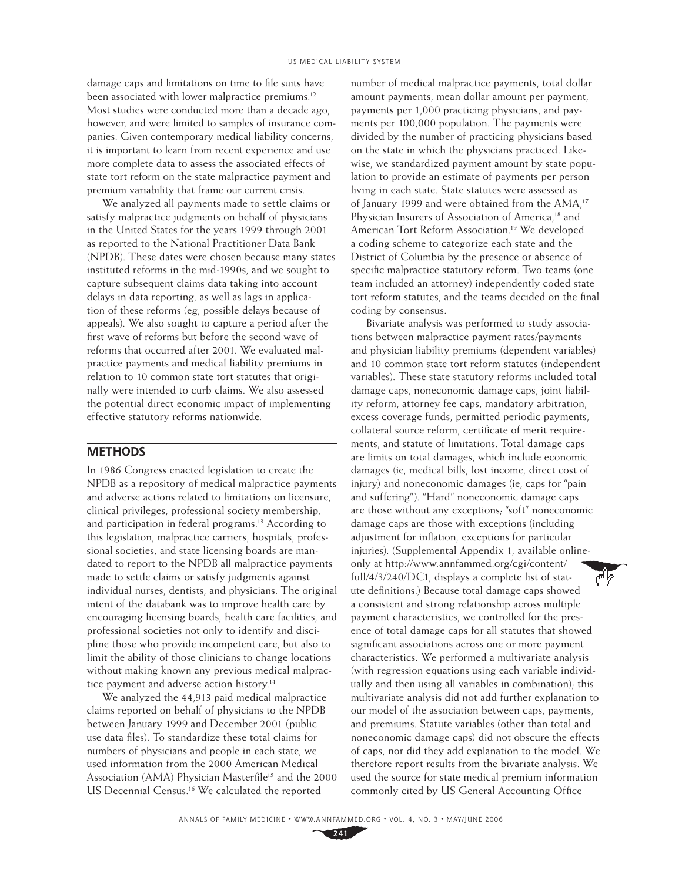damage caps and limitations on time to file suits have been associated with lower malpractice premiums.<sup>12</sup> Most studies were conducted more than a decade ago, however, and were limited to samples of insurance companies. Given contemporary medical liability concerns, it is important to learn from recent experience and use more complete data to assess the associated effects of state tort reform on the state malpractice payment and premium variability that frame our current crisis.

We analyzed all payments made to settle claims or satisfy malpractice judgments on behalf of physicians in the United States for the years 1999 through 2001 as reported to the National Practitioner Data Bank (NPDB). These dates were chosen because many states instituted reforms in the mid-1990s, and we sought to capture subsequent claims data taking into account delays in data reporting, as well as lags in application of these reforms (eg, possible delays because of appeals). We also sought to capture a period after the first wave of reforms but before the second wave of reforms that occurred after 2001. We evaluated malpractice payments and medical liability premiums in relation to 10 common state tort statutes that originally were intended to curb claims. We also assessed the potential direct economic impact of implementing effective statutory reforms nationwide.

## **METHODS**

In 1986 Congress enacted legislation to create the NPDB as a repository of medical malpractice payments and adverse actions related to limitations on licensure, clinical privileges, professional society membership, and participation in federal programs.<sup>13</sup> According to this legislation, malpractice carriers, hospitals, professional societies, and state licensing boards are mandated to report to the NPDB all malpractice payments made to settle claims or satisfy judgments against individual nurses, dentists, and physicians. The original intent of the databank was to improve health care by encouraging licensing boards, health care facilities, and professional societies not only to identify and discipline those who provide incompetent care, but also to limit the ability of those clinicians to change locations without making known any previous medical malpractice payment and adverse action history.<sup>14</sup>

We analyzed the 44,913 paid medical malpractice claims reported on behalf of physicians to the NPDB between January 1999 and December 2001 (public use data files). To standardize these total claims for numbers of physicians and people in each state, we used information from the 2000 American Medical Association (AMA) Physician Masterfile<sup>15</sup> and the 2000 US Decennial Census.16 We calculated the reported

number of medical malpractice payments, total dollar amount payments, mean dollar amount per payment, payments per 1,000 practicing physicians, and payments per 100,000 population. The payments were divided by the number of practicing physicians based on the state in which the physicians practiced. Likewise, we standardized payment amount by state population to provide an estimate of payments per person living in each state. State statutes were assessed as of January 1999 and were obtained from the AMA,<sup>17</sup> Physician Insurers of Association of America,<sup>18</sup> and American Tort Reform Association.<sup>19</sup> We developed a coding scheme to categorize each state and the District of Columbia by the presence or absence of specific malpractice statutory reform. Two teams (one team included an attorney) independently coded state tort reform statutes, and the teams decided on the final coding by consensus.

Bivariate analysis was performed to study associations between malpractice payment rates/payments and physician liability premiums (dependent variables) and 10 common state tort reform statutes (independent variables). These state statutory reforms included total damage caps, noneconomic damage caps, joint liability reform, attorney fee caps, mandatory arbitration, excess coverage funds, permitted periodic payments, collateral source reform, certificate of merit requirements, and statute of limitations. Total damage caps are limits on total damages, which include economic damages (ie, medical bills, lost income, direct cost of injury) and noneconomic damages (ie, caps for "pain and suffering"). "Hard" noneconomic damage caps are those without any exceptions; "soft" noneconomic damage caps are those with exceptions (including adjustment for inflation, exceptions for particular injuries). (Supplemental Appendix 1, available onlineonly at http://www.annfammed.org/cgi/content/ full/4/3/240/DC1, displays a complete list of statute definitions.) Because total damage caps showed a consistent and strong relationship across multiple payment characteristics, we controlled for the presence of total damage caps for all statutes that showed significant associations across one or more payment characteristics. We performed a multivariate analysis (with regression equations using each variable individually and then using all variables in combination); this multivariate analysis did not add further explanation to our model of the association between caps, payments, and premiums. Statute variables (other than total and noneconomic damage caps) did not obscure the effects of caps, nor did they add explanation to the model. We therefore report results from the bivariate analysis. We used the source for state medical premium information commonly cited by US General Accounting Office

ANNALS OF FAMILY MEDICINE ✦ WWW.ANNFAMMED.ORG ✦ VOL. 4, NO. 3 ✦ MAY/JUNE 2006

**241**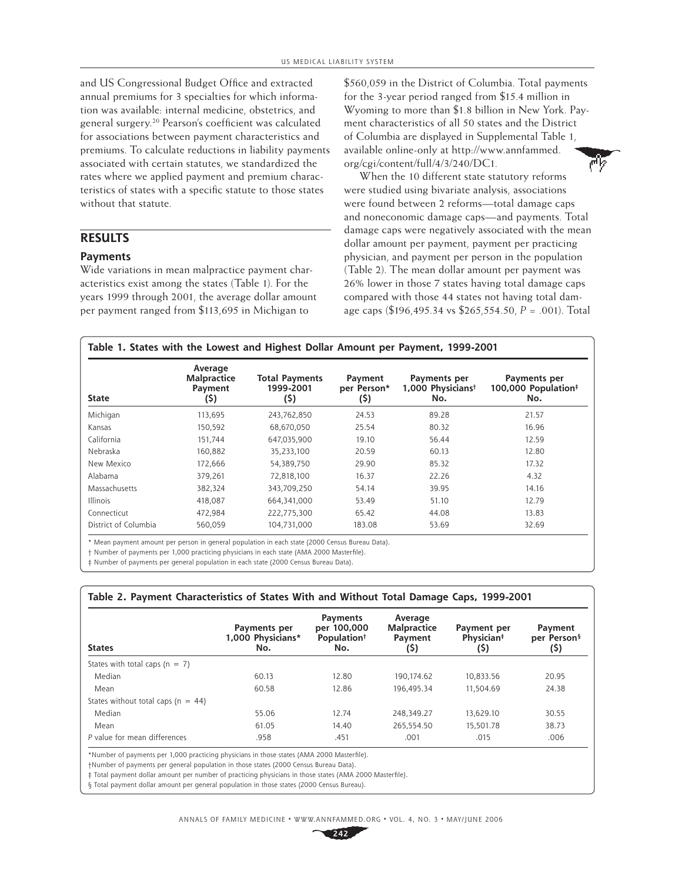and US Congressional Budget Office and extracted annual premiums for 3 specialties for which information was available: internal medicine, obstetrics, and general surgery.<sup>20</sup> Pearson's coefficient was calculated for associations between payment characteristics and premiums. To calculate reductions in liability payments associated with certain statutes, we standardized the rates where we applied payment and premium characteristics of states with a specific statute to those states without that statute.

## **RESULTS**

## **Payments**

Wide variations in mean malpractice payment characteristics exist among the states (Table 1). For the years 1999 through 2001, the average dollar amount per payment ranged from \$113,695 in Michigan to

\$560,059 in the District of Columbia. Total payments for the 3-year period ranged from \$15.4 million in Wyoming to more than \$1.8 billion in New York. Payment characteristics of all 50 states and the District of Columbia are displayed in Supplemental Table 1, available online-only at http://www.annfammed. org/cgi/content/full/4/3/240/DC1.

When the 10 different state statutory reforms were studied using bivariate analysis, associations were found between 2 reforms—total damage caps and noneconomic damage caps—and payments. Total damage caps were negatively associated with the mean dollar amount per payment, payment per practicing physician, and payment per person in the population (Table 2). The mean dollar amount per payment was 26% lower in those 7 states having total damage caps compared with those 44 states not having total damage caps (\$196,495.34 vs \$265,554.50, *P* = .001). Total

| State                | Average<br><b>Malpractice</b><br>Payment<br>(\$) | <b>Total Payments</b><br>1999-2001<br>(\$) | Payment<br>per Person*<br>(\$) | Payments per<br>1,000 Physicians <sup>†</sup><br>No. | Payments per<br>100,000 Population <sup>#</sup><br>No. |
|----------------------|--------------------------------------------------|--------------------------------------------|--------------------------------|------------------------------------------------------|--------------------------------------------------------|
| Michigan             | 113,695                                          | 243,762,850                                | 24.53                          | 89.28                                                | 21.57                                                  |
| Kansas               | 150,592                                          | 68,670,050                                 | 25.54                          | 80.32                                                | 16.96                                                  |
| California           | 151,744                                          | 647,035,900                                | 19.10                          | 56.44                                                | 12.59                                                  |
| Nebraska             | 160,882                                          | 35,233,100                                 | 20.59                          | 60.13                                                | 12.80                                                  |
| New Mexico           | 172,666                                          | 54,389,750                                 | 29.90                          | 85.32                                                | 17.32                                                  |
| Alabama              | 379,261                                          | 72,818,100                                 | 16.37                          | 22.26                                                | 4.32                                                   |
| Massachusetts        | 382,324                                          | 343,709,250                                | 54.14                          | 39.95                                                | 14.16                                                  |
| <b>Illinois</b>      | 418,087                                          | 664,341,000                                | 53.49                          | 51.10                                                | 12.79                                                  |
| Connecticut          | 472,984                                          | 222,775,300                                | 65.42                          | 44.08                                                | 13.83                                                  |
| District of Columbia | 560,059                                          | 104,731,000                                | 183.08                         | 53.69                                                | 32.69                                                  |

\* Mean payment amount per person in general population in each state (2000 Census Bureau Data).

† Number of payments per 1,000 practicing physicians in each state (AMA 2000 Masterfile).

‡ Number of payments per general population in each state (2000 Census Bureau Data).

|  |  |  |  | Table 2. Payment Characteristics of States With and Without Total Damage Caps, 1999-2001 |  |  |  |  |  |  |  |  |  |
|--|--|--|--|------------------------------------------------------------------------------------------|--|--|--|--|--|--|--|--|--|
|--|--|--|--|------------------------------------------------------------------------------------------|--|--|--|--|--|--|--|--|--|

| <b>States</b>                          | Payments per<br>1,000 Physicians*<br>No. | Payments<br>per 100,000<br>Population <sup>†</sup><br>No. | Average<br><b>Malpractice</b><br>Payment<br>(\$) | Payment per<br>Physician <sup>#</sup><br>(\$) | Payment<br>per Person <sup>§</sup><br>(\$) |
|----------------------------------------|------------------------------------------|-----------------------------------------------------------|--------------------------------------------------|-----------------------------------------------|--------------------------------------------|
| States with total caps $(n = 7)$       |                                          |                                                           |                                                  |                                               |                                            |
| Median                                 | 60.13                                    | 12.80                                                     | 190.174.62                                       | 10.833.56                                     | 20.95                                      |
| Mean                                   | 60.58                                    | 12.86                                                     | 196.495.34                                       | 11.504.69                                     | 24.38                                      |
| States without total caps ( $n = 44$ ) |                                          |                                                           |                                                  |                                               |                                            |
| Median                                 | 55.06                                    | 12.74                                                     | 248.349.27                                       | 13,629.10                                     | 30.55                                      |
| Mean                                   | 61.05                                    | 14.40                                                     | 265.554.50                                       | 15.501.78                                     | 38.73                                      |
| P value for mean differences           | .958                                     | .451                                                      | .001                                             | .015                                          | .006                                       |

\*Number of payments per 1,000 practicing physicians in those states (AMA 2000 Masterfile).

†Number of payments per general population in those states (2000 Census Bureau Data).

‡ Total payment dollar amount per number of practicing physicians in those states (AMA 2000 Masterfi le).

§ Total payment dollar amount per general population in those states (2000 Census Bureau).

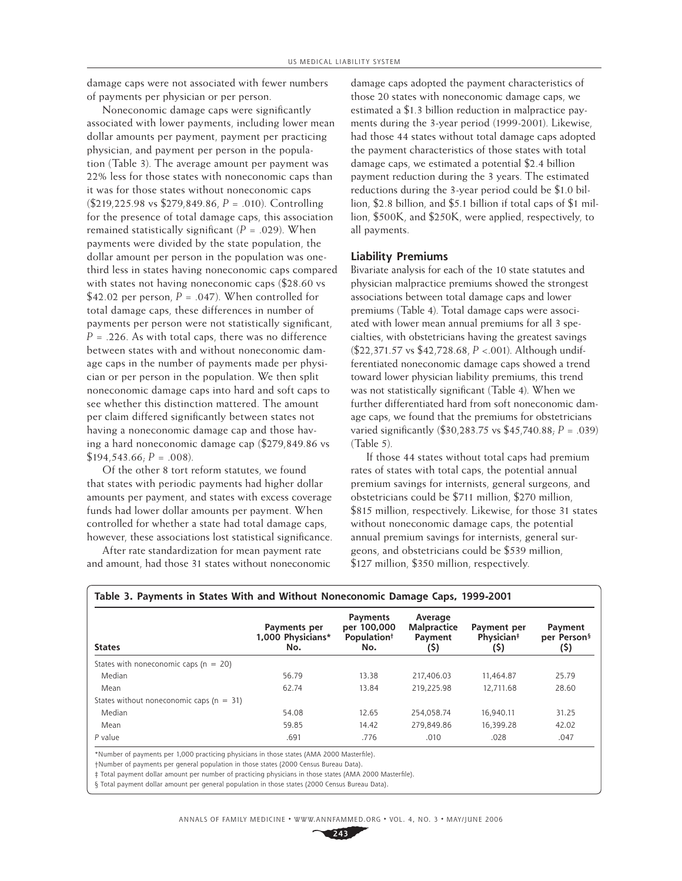damage caps were not associated with fewer numbers of payments per physician or per person.

Noneconomic damage caps were significantly associated with lower payments, including lower mean dollar amounts per payment, payment per practicing physician, and payment per person in the population (Table 3). The average amount per payment was 22% less for those states with noneconomic caps than it was for those states without noneconomic caps (\$219,225.98 vs \$279,849.86, *P* = .010). Controlling for the presence of total damage caps, this association remained statistically significant  $(P = .029)$ . When payments were divided by the state population, the dollar amount per person in the population was onethird less in states having noneconomic caps compared with states not having noneconomic caps  $$28.60$  vs \$42.02 per person,  $P = .047$ ). When controlled for total damage caps, these differences in number of payments per person were not statistically significant,  $P = 0.226$ . As with total caps, there was no difference between states with and without noneconomic damage caps in the number of payments made per physician or per person in the population. We then split noneconomic damage caps into hard and soft caps to see whether this distinction mattered. The amount per claim differed significantly between states not having a noneconomic damage cap and those having a hard noneconomic damage cap (\$279,849.86 vs  $$194,543.66; P = .008$ .

Of the other 8 tort reform statutes, we found that states with periodic payments had higher dollar amounts per payment, and states with excess coverage funds had lower dollar amounts per payment. When controlled for whether a state had total damage caps, however, these associations lost statistical significance.

After rate standardization for mean payment rate and amount, had those 31 states without noneconomic damage caps adopted the payment characteristics of those 20 states with noneconomic damage caps, we estimated a \$1.3 billion reduction in malpractice payments during the 3-year period (1999-2001). Likewise, had those 44 states without total damage caps adopted the payment characteristics of those states with total damage caps, we estimated a potential \$2.4 billion payment reduction during the 3 years. The estimated reductions during the 3-year period could be \$1.0 billion, \$2.8 billion, and \$5.1 billion if total caps of \$1 million, \$500K, and \$250K, were applied, respectively, to all payments.

#### **Liability Premiums**

Bivariate analysis for each of the 10 state statutes and physician malpractice premiums showed the strongest associations between total damage caps and lower premiums (Table 4). Total damage caps were associated with lower mean annual premiums for all 3 specialties, with obstetricians having the greatest savings (\$22,371.57 vs \$42,728.68, *P* <.001). Although undifferentiated noneconomic damage caps showed a trend toward lower physician liability premiums, this trend was not statistically significant (Table 4). When we further differentiated hard from soft noneconomic damage caps, we found that the premiums for obstetricians varied significantly (\$30,283.75 vs  $$45,740.88; P = .039$ ) (Table 5).

If those 44 states without total caps had premium rates of states with total caps, the potential annual premium savings for internists, general surgeons, and obstetricians could be \$711 million, \$270 million, \$815 million, respectively. Likewise, for those 31 states without noneconomic damage caps, the potential annual premium savings for internists, general surgeons, and obstetricians could be \$539 million, \$127 million, \$350 million, respectively.

| <b>States</b>                                | Payments per<br>1,000 Physicians*<br>No. | <b>Payments</b><br>per 100,000<br>Population <sup>†</sup><br>No. | Average<br><b>Malpractice</b><br>Payment<br>(\$) | Payment per<br>Physician <sup>#</sup><br>(\$) | Payment<br>per Person <sup>§</sup><br>(\$) |
|----------------------------------------------|------------------------------------------|------------------------------------------------------------------|--------------------------------------------------|-----------------------------------------------|--------------------------------------------|
| States with noneconomic caps ( $n = 20$ )    |                                          |                                                                  |                                                  |                                               |                                            |
| Median                                       | 56.79                                    | 13.38                                                            | 217,406.03                                       | 11.464.87                                     | 25.79                                      |
| Mean                                         | 62.74                                    | 13.84                                                            | 219.225.98                                       | 12.711.68                                     | 28.60                                      |
| States without noneconomic caps ( $n = 31$ ) |                                          |                                                                  |                                                  |                                               |                                            |
| Median                                       | 54.08                                    | 12.65                                                            | 254.058.74                                       | 16.940.11                                     | 31.25                                      |
| Mean                                         | 59.85                                    | 14.42                                                            | 279.849.86                                       | 16,399.28                                     | 42.02                                      |
| P value                                      | .691                                     | .776                                                             | .010                                             | .028                                          | .047                                       |

#### **Table 3. Payments in States With and Without Noneconomic Damage Caps, 1999-2001**

\*Number of payments per 1,000 practicing physicians in those states (AMA 2000 Masterfile).

†Number of payments per general population in those states (2000 Census Bureau Data).

‡ Total payment dollar amount per number of practicing physicians in those states (AMA 2000 Masterfi le).

§ Total payment dollar amount per general population in those states (2000 Census Bureau Data).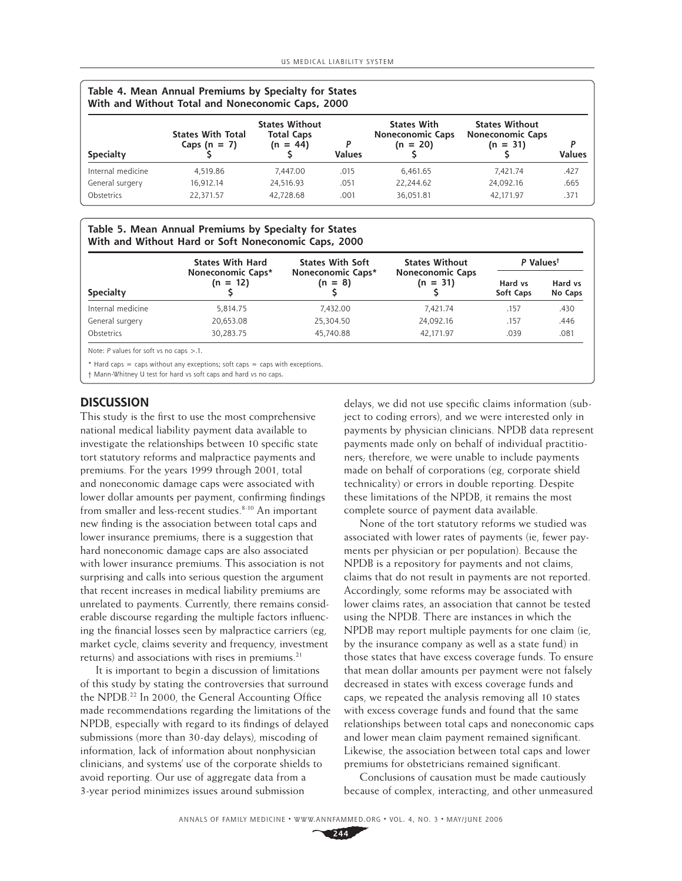| Table 4. Mean Annual Premiums by Specialty for States<br>With and Without Total and Noneconomic Caps, 2000 |                                             |                                                          |               |                                                             |                                                                |                    |  |  |  |  |
|------------------------------------------------------------------------------------------------------------|---------------------------------------------|----------------------------------------------------------|---------------|-------------------------------------------------------------|----------------------------------------------------------------|--------------------|--|--|--|--|
| <b>Specialty</b>                                                                                           | <b>States With Total</b><br>Caps (n = $7$ ) | <b>States Without</b><br><b>Total Caps</b><br>$(n = 44)$ | <b>Values</b> | <b>States With</b><br><b>Noneconomic Caps</b><br>$(n = 20)$ | <b>States Without</b><br><b>Noneconomic Caps</b><br>$(n = 31)$ | P<br><b>Values</b> |  |  |  |  |
| Internal medicine                                                                                          | 4,519.86                                    | 7.447.00                                                 | .015          | 6,461.65                                                    | 7.421.74                                                       | .427               |  |  |  |  |
| General surgery                                                                                            | 16,912.14                                   | 24,516.93                                                | .051          | 22.244.62                                                   | 24,092.16                                                      | .665               |  |  |  |  |
| <b>Obstetrics</b>                                                                                          | 22.371.57                                   | 42.728.68                                                | .001          | 36,051.81                                                   | 42.171.97                                                      | .371               |  |  |  |  |

#### **Table 5. Mean Annual Premiums by Specialty for States With and Without Hard or Soft Noneconomic Caps, 2000**

|                   | <b>States With Hard</b>         | <b>States With Soft</b>        | <b>States Without</b>                 | P Valuest            |                    |
|-------------------|---------------------------------|--------------------------------|---------------------------------------|----------------------|--------------------|
| <b>Specialty</b>  | Noneconomic Caps*<br>$(n = 12)$ | Noneconomic Caps*<br>$(n = 8)$ | <b>Noneconomic Caps</b><br>$(n = 31)$ | Hard vs<br>Soft Caps | Hard vs<br>No Caps |
| Internal medicine | 5.814.75                        | 7.432.00                       | 7.421.74                              | .157                 | .430               |
| General surgery   | 20,653.08                       | 25,304.50                      | 24,092.16                             | .157                 | .446               |
| Obstetrics        | 30.283.75                       | 45.740.88                      | 42.171.97                             | .039                 | .081               |

Note: *P* values for soft vs no caps >.1.

 $*$  Hard caps = caps without any exceptions; soft caps = caps with exceptions.

† Mann-Whitney U test for hard vs soft caps and hard vs no caps.

## **DISCUSSION**

This study is the first to use the most comprehensive national medical liability payment data available to investigate the relationships between 10 specific state tort statutory reforms and malpractice payments and premiums. For the years 1999 through 2001, total and noneconomic damage caps were associated with lower dollar amounts per payment, confirming findings from smaller and less-recent studies.<sup>8-10</sup> An important new finding is the association between total caps and lower insurance premiums; there is a suggestion that hard noneconomic damage caps are also associated with lower insurance premiums. This association is not surprising and calls into serious question the argument that recent increases in medical liability premiums are unrelated to payments. Currently, there remains considerable discourse regarding the multiple factors influencing the financial losses seen by malpractice carriers (eg, market cycle, claims severity and frequency, investment returns) and associations with rises in premiums.<sup>21</sup>

It is important to begin a discussion of limitations of this study by stating the controversies that surround the NPDB.<sup>22</sup> In 2000, the General Accounting Office made recommendations regarding the limitations of the NPDB, especially with regard to its findings of delayed submissions (more than 30-day delays), miscoding of information, lack of information about nonphysician clinicians, and systems' use of the corporate shields to avoid reporting. Our use of aggregate data from a 3-year period minimizes issues around submission

delays, we did not use specific claims information (subject to coding errors), and we were interested only in payments by physician clinicians. NPDB data represent payments made only on behalf of individual practitioners; therefore, we were unable to include payments made on behalf of corporations (eg, corporate shield technicality) or errors in double reporting. Despite these limitations of the NPDB, it remains the most complete source of payment data available.

None of the tort statutory reforms we studied was associated with lower rates of payments (ie, fewer payments per physician or per population). Because the NPDB is a repository for payments and not claims, claims that do not result in payments are not reported. Accordingly, some reforms may be associated with lower claims rates, an association that cannot be tested using the NPDB. There are instances in which the NPDB may report multiple payments for one claim (ie, by the insurance company as well as a state fund) in those states that have excess coverage funds. To ensure that mean dollar amounts per payment were not falsely decreased in states with excess coverage funds and caps, we repeated the analysis removing all 10 states with excess coverage funds and found that the same relationships between total caps and noneconomic caps and lower mean claim payment remained significant. Likewise, the association between total caps and lower premiums for obstetricians remained significant.

Conclusions of causation must be made cautiously because of complex, interacting, and other unmeasured

**244**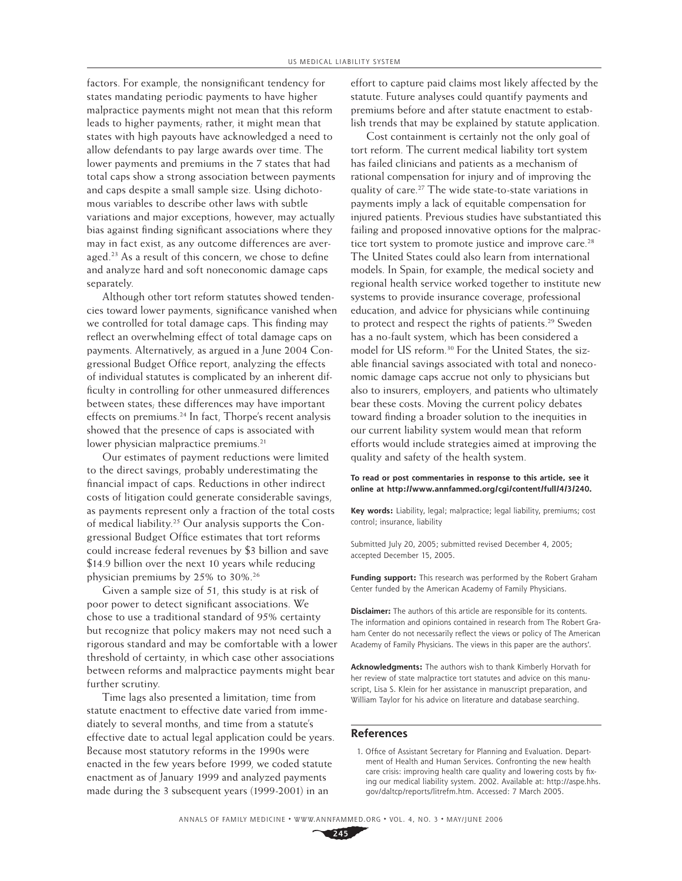factors. For example, the nonsignificant tendency for states mandating periodic payments to have higher malpractice payments might not mean that this reform leads to higher payments; rather, it might mean that states with high payouts have acknowledged a need to allow defendants to pay large awards over time. The lower payments and premiums in the 7 states that had total caps show a strong association between payments and caps despite a small sample size. Using dichotomous variables to describe other laws with subtle variations and major exceptions, however, may actually bias against finding significant associations where they may in fact exist, as any outcome differences are averaged.<sup>23</sup> As a result of this concern, we chose to define and analyze hard and soft noneconomic damage caps separately.

Although other tort reform statutes showed tendencies toward lower payments, significance vanished when we controlled for total damage caps. This finding may reflect an overwhelming effect of total damage caps on payments. Alternatively, as argued in a June 2004 Congressional Budget Office report, analyzing the effects of individual statutes is complicated by an inherent difficulty in controlling for other unmeasured differences between states; these differences may have important effects on premiums.<sup>24</sup> In fact, Thorpe's recent analysis showed that the presence of caps is associated with lower physician malpractice premiums.<sup>21</sup>

Our estimates of payment reductions were limited to the direct savings, probably underestimating the financial impact of caps. Reductions in other indirect costs of litigation could generate considerable savings, as payments represent only a fraction of the total costs of medical liability.<sup>25</sup> Our analysis supports the Congressional Budget Office estimates that tort reforms could increase federal revenues by \$3 billion and save \$14.9 billion over the next 10 years while reducing physician premiums by 25% to 30%.26

Given a sample size of 51, this study is at risk of poor power to detect significant associations. We chose to use a traditional standard of 95% certainty but recognize that policy makers may not need such a rigorous standard and may be comfortable with a lower threshold of certainty, in which case other associations between reforms and malpractice payments might bear further scrutiny.

Time lags also presented a limitation; time from statute enactment to effective date varied from immediately to several months, and time from a statute's effective date to actual legal application could be years. Because most statutory reforms in the 1990s were enacted in the few years before 1999, we coded statute enactment as of January 1999 and analyzed payments made during the 3 subsequent years (1999-2001) in an

effort to capture paid claims most likely affected by the statute. Future analyses could quantify payments and premiums before and after statute enactment to establish trends that may be explained by statute application.

Cost containment is certainly not the only goal of tort reform. The current medical liability tort system has failed clinicians and patients as a mechanism of rational compensation for injury and of improving the quality of care.27 The wide state-to-state variations in payments imply a lack of equitable compensation for injured patients. Previous studies have substantiated this failing and proposed innovative options for the malpractice tort system to promote justice and improve care.<sup>28</sup> The United States could also learn from international models. In Spain, for example, the medical society and regional health service worked together to institute new systems to provide insurance coverage, professional education, and advice for physicians while continuing to protect and respect the rights of patients.<sup>29</sup> Sweden has a no-fault system, which has been considered a model for US reform.30 For the United States, the sizable financial savings associated with total and noneconomic damage caps accrue not only to physicians but also to insurers, employers, and patients who ultimately bear these costs. Moving the current policy debates toward finding a broader solution to the inequities in our current liability system would mean that reform efforts would include strategies aimed at improving the quality and safety of the health system.

**To read or post commentaries in response to this article, see it online at http://www.annfammed.org/cgi/content/full/4/3/240.** 

**Key words:** Liability, legal; malpractice; legal liability, premiums; cost control; insurance, liability

Submitted July 20, 2005; submitted revised December 4, 2005; accepted December 15, 2005.

**Funding support:** This research was performed by the Robert Graham Center funded by the American Academy of Family Physicians.

**Disclaimer:** The authors of this article are responsible for its contents. The information and opinions contained in research from The Robert Graham Center do not necessarily reflect the views or policy of The American Academy of Family Physicians. The views in this paper are the authors'.

**Acknowledgments:** The authors wish to thank Kimberly Horvath for her review of state malpractice tort statutes and advice on this manuscript, Lisa S. Klein for her assistance in manuscript preparation, and William Taylor for his advice on literature and database searching.

#### **References**

1. Office of Assistant Secretary for Planning and Evaluation. Department of Health and Human Services. Confronting the new health care crisis: improving health care quality and lowering costs by fixing our medical liability system. 2002. Available at: http://aspe.hhs. gov/daltcp/reports/litrefm.htm. Accessed: 7 March 2005.

ANNALS OF FAMILY MEDICINE ✦ WWW.ANNFAMMED.ORG ✦ VOL. 4, NO. 3 ✦ MAY/JUNE 2006